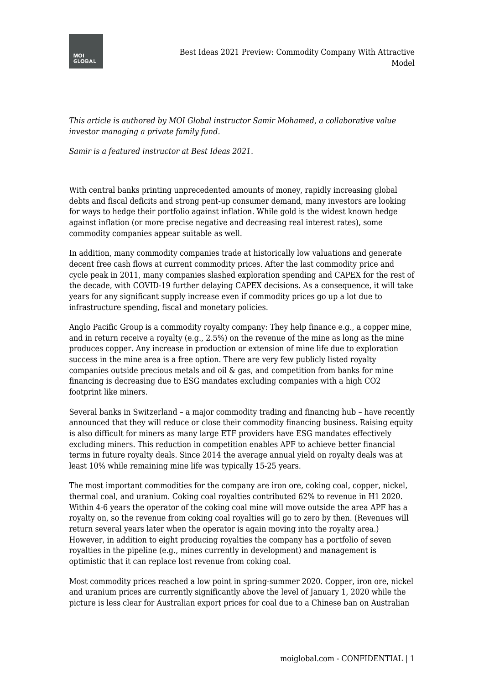

*This article is authored by MOI Global instructor Samir Mohamed, a collaborative value investor managing a private family fund.*

*Samir is a featured instructor at Best Ideas 2021.*

With central banks printing unprecedented amounts of money, rapidly increasing global debts and fiscal deficits and strong pent-up consumer demand, many investors are looking for ways to hedge their portfolio against inflation. While gold is the widest known hedge against inflation (or more precise negative and decreasing real interest rates), some commodity companies appear suitable as well.

In addition, many commodity companies trade at historically low valuations and generate decent free cash flows at current commodity prices. After the last commodity price and cycle peak in 2011, many companies slashed exploration spending and CAPEX for the rest of the decade, with COVID-19 further delaying CAPEX decisions. As a consequence, it will take years for any significant supply increase even if commodity prices go up a lot due to infrastructure spending, fiscal and monetary policies.

Anglo Pacific Group is a commodity royalty company: They help finance e.g., a copper mine, and in return receive a royalty (e.g., 2.5%) on the revenue of the mine as long as the mine produces copper. Any increase in production or extension of mine life due to exploration success in the mine area is a free option. There are very few publicly listed royalty companies outside precious metals and oil & gas, and competition from banks for mine financing is decreasing due to ESG mandates excluding companies with a high CO2 footprint like miners.

Several banks in Switzerland – a major commodity trading and financing hub – have recently announced that they will reduce or close their commodity financing business. Raising equity is also difficult for miners as many large ETF providers have ESG mandates effectively excluding miners. This reduction in competition enables APF to achieve better financial terms in future royalty deals. Since 2014 the average annual yield on royalty deals was at least 10% while remaining mine life was typically 15-25 years.

The most important commodities for the company are iron ore, coking coal, copper, nickel, thermal coal, and uranium. Coking coal royalties contributed 62% to revenue in H1 2020. Within 4-6 years the operator of the coking coal mine will move outside the area APF has a royalty on, so the revenue from coking coal royalties will go to zero by then. (Revenues will return several years later when the operator is again moving into the royalty area.) However, in addition to eight producing royalties the company has a portfolio of seven royalties in the pipeline (e.g., mines currently in development) and management is optimistic that it can replace lost revenue from coking coal.

Most commodity prices reached a low point in spring-summer 2020. Copper, iron ore, nickel and uranium prices are currently significantly above the level of January 1, 2020 while the picture is less clear for Australian export prices for coal due to a Chinese ban on Australian